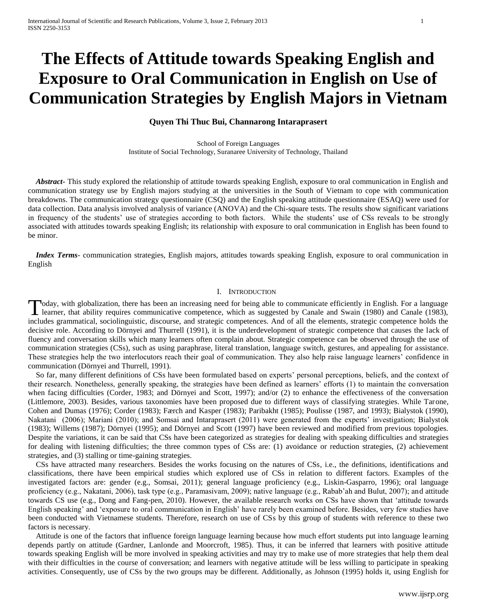# **The Effects of Attitude towards Speaking English and Exposure to Oral Communication in English on Use of Communication Strategies by English Majors in Vietnam**

## **Quyen Thi Thuc Bui, Channarong Intaraprasert**

School of Foreign Languages Institute of Social Technology, Suranaree University of Technology, Thailand

 *Abstract***-** This study explored the relationship of attitude towards speaking English, exposure to oral communication in English and communication strategy use by English majors studying at the universities in the South of Vietnam to cope with communication breakdowns. The communication strategy questionnaire (CSQ) and the English speaking attitude questionnaire (ESAQ) were used for data collection. Data analysis involved analysis of variance (ANOVA) and the Chi-square tests. The results show significant variations in frequency of the students' use of strategies according to both factors. While the students' use of CSs reveals to be strongly associated with attitudes towards speaking English; its relationship with exposure to oral communication in English has been found to be minor.

 *Index Terms*- communication strategies, English majors, attitudes towards speaking English, exposure to oral communication in English

## I. INTRODUCTION

Today, with globalization, there has been an increasing need for being able to communicate efficiently in English. For a language Today, with globalization, there has been an increasing need for being able to communicate efficiently in English. For a language learner, that ability requires communicative competence, which as suggested by Canale and Sw includes grammatical, sociolinguistic, discourse, and strategic competences. And of all the elements, strategic competence holds the decisive role. According to Dörnyei and Thurrell (1991), it is the underdevelopment of strategic competence that causes the lack of fluency and conversation skills which many learners often complain about. Strategic competence can be observed through the use of communication strategies (CSs), such as using paraphrase, literal translation, language switch, gestures, and appealing for assistance. These strategies help the two interlocutors reach their goal of communication. They also help raise language learners' confidence in communication (Dörnyei and Thurrell, 1991).

 So far, many different definitions of CSs have been formulated based on experts' personal perceptions, beliefs, and the context of their research. Nonetheless, generally speaking, the strategies have been defined as learners' efforts (1) to maintain the conversation when facing difficulties (Corder, 1983; and Dörnyei and Scott, 1997); and/or (2) to enhance the effectiveness of the conversation (Littlemore, 2003). Besides, various taxonomies have been proposed due to different ways of classifying strategies. While Tarone, Cohen and Dumas (1976); Corder (1983); Færch and Kasper (1983); Paribakht (1985); Poulisse (1987, and 1993); Bialystok (1990), Nakatani (2006); Mariani (2010); and Somsai and Intaraprasert (2011) were generated from the experts' investigation; Bialystok (1983); Willems (1987); Dörnyei (1995); and Dörnyei and Scott (1997) have been reviewed and modified from previous topologies. Despite the variations, it can be said that CSs have been categorized as strategies for dealing with speaking difficulties and strategies for dealing with listening difficulties; the three common types of CSs are: (1) avoidance or reduction strategies, (2) achievement strategies, and (3) stalling or time-gaining strategies.

 CSs have attracted many researchers. Besides the works focusing on the natures of CSs, i.e., the definitions, identifications and classifications, there have been empirical studies which explored use of CSs in relation to different factors. Examples of the investigated factors are: gender (e.g., Somsai, 2011); general language proficiency (e.g., Liskin-Gasparro, 1996); oral language proficiency (e.g., Nakatani, 2006), task type (e.g., Paramasivam, 2009); native language (e.g., Rabab'ah and Bulut, 2007); and attitude towards CS use (e.g., Dong and Fang-pen, 2010). However, the available research works on CSs have shown that 'attitude towards English speaking' and 'exposure to oral communication in English' have rarely been examined before. Besides, very few studies have been conducted with Vietnamese students. Therefore, research on use of CSs by this group of students with reference to these two factors is necessary.

 Attitude is one of the factors that influence foreign language learning because how much effort students put into language learning depends partly on attitude (Gardner, Lanlonde and Moorcroft, 1985). Thus, it can be inferred that learners with positive attitude towards speaking English will be more involved in speaking activities and may try to make use of more strategies that help them deal with their difficulties in the course of conversation; and learners with negative attitude will be less willing to participate in speaking activities. Consequently, use of CSs by the two groups may be different. Additionally, as Johnson (1995) holds it, using English for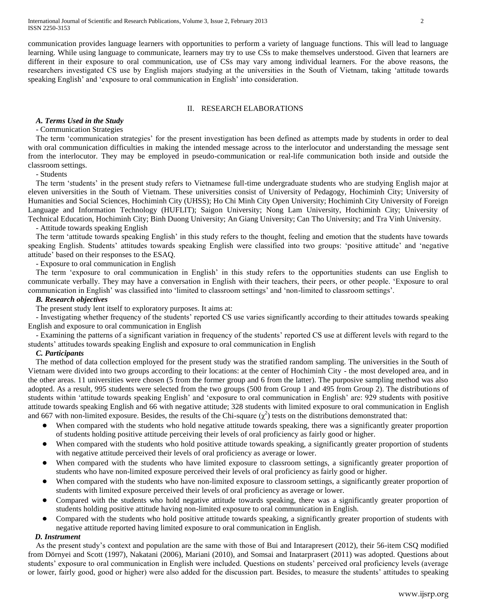communication provides language learners with opportunities to perform a variety of language functions. This will lead to language learning. While using language to communicate, learners may try to use CSs to make themselves understood. Given that learners are different in their exposure to oral communication, use of CSs may vary among individual learners. For the above reasons, the researchers investigated CS use by English majors studying at the universities in the South of Vietnam, taking 'attitude towards speaking English' and 'exposure to oral communication in English' into consideration.

## II. RESEARCH ELABORATIONS

## *A. Terms Used in the Study*

## - Communication Strategies

 The term 'communication strategies' for the present investigation has been defined as attempts made by students in order to deal with oral communication difficulties in making the intended message across to the interlocutor and understanding the message sent from the interlocutor. They may be employed in pseudo-communication or real-life communication both inside and outside the classroom settings.

- Students

 The term 'students' in the present study refers to Vietnamese full-time undergraduate students who are studying English major at eleven universities in the South of Vietnam. These universities consist of University of Pedagogy, Hochiminh City; University of Humanities and Social Sciences, Hochiminh City (UHSS); Ho Chi Minh City Open University; Hochiminh City University of Foreign Language and Information Technology (HUFLIT); Saigon University; Nong Lam University, Hochiminh City; University of Technical Education, Hochiminh City; Binh Duong University; An Giang University; Can Tho University; and Tra Vinh University.

- Attitude towards speaking English

 The term 'attitude towards speaking English' in this study refers to the thought, feeling and emotion that the students have towards speaking English. Students' attitudes towards speaking English were classified into two groups: 'positive attitude' and 'negative attitude' based on their responses to the ESAQ.

- Exposure to oral communication in English

 The term 'exposure to oral communication in English' in this study refers to the opportunities students can use English to communicate verbally. They may have a conversation in English with their teachers, their peers, or other people. 'Exposure to oral communication in English' was classified into 'limited to classroom settings' and 'non-limited to classroom settings'.

## *B. Research objectives*

The present study lent itself to exploratory purposes. It aims at:

 - Investigating whether frequency of the students' reported CS use varies significantly according to their attitudes towards speaking English and exposure to oral communication in English

 - Examining the patterns of a significant variation in frequency of the students' reported CS use at different levels with regard to the students' attitudes towards speaking English and exposure to oral communication in English

#### *C. Participants*

 The method of data collection employed for the present study was the stratified random sampling. The universities in the South of Vietnam were divided into two groups according to their locations: at the center of Hochiminh City - the most developed area, and in the other areas. 11 universities were chosen (5 from the former group and 6 from the latter). The purposive sampling method was also adopted. As a result, 995 students were selected from the two groups (500 from Group 1 and 495 from Group 2). The distributions of students within 'attitude towards speaking English' and 'exposure to oral communication in English' are: 929 students with positive attitude towards speaking English and 66 with negative attitude; 328 students with limited exposure to oral communication in English and 667 with non-limited exposure. Besides, the results of the Chi-square  $(\chi^2)$  tests on the distributions demonstrated that:

- When compared with the students who hold negative attitude towards speaking, there was a significantly greater proportion of students holding positive attitude perceiving their levels of oral proficiency as fairly good or higher.
- When compared with the students who hold positive attitude towards speaking, a significantly greater proportion of students with negative attitude perceived their levels of oral proficiency as average or lower.
- When compared with the students who have limited exposure to classroom settings, a significantly greater proportion of students who have non-limited exposure perceived their levels of oral proficiency as fairly good or higher.
- When compared with the students who have non-limited exposure to classroom settings, a significantly greater proportion of students with limited exposure perceived their levels of oral proficiency as average or lower.
- Compared with the students who hold negative attitude towards speaking, there was a significantly greater proportion of students holding positive attitude having non-limited exposure to oral communication in English.
- Compared with the students who hold positive attitude towards speaking, a significantly greater proportion of students with negative attitude reported having limited exposure to oral communication in English.

## *D. Instrument*

 As the present study's context and population are the same with those of Bui and Intarapresert (2012), their 56-item CSQ modified from Dörnyei and Scott (1997), Nakatani (2006), Mariani (2010), and Somsai and Inatarprasert (2011) was adopted. Questions about students' exposure to oral communication in English were included. Questions on students' perceived oral proficiency levels (average or lower, fairly good, good or higher) were also added for the discussion part. Besides, to measure the students' attitudes to speaking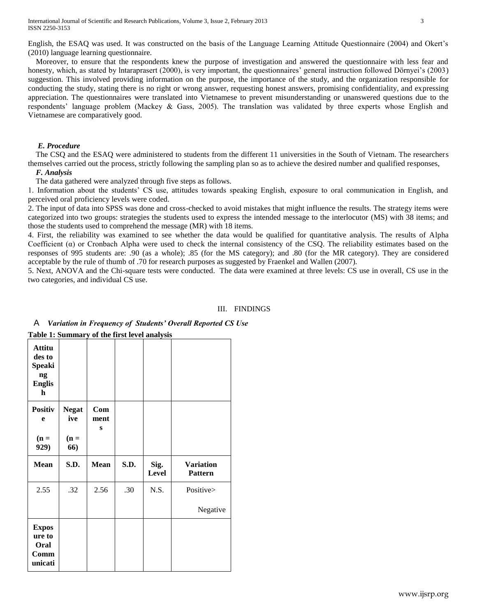Moreover, to ensure that the respondents knew the purpose of investigation and answered the questionnaire with less fear and honesty, which, as stated by Intaraprasert (2000), is very important, the questionnaires' general instruction followed Dörnyei's (2003) suggestion. This involved providing information on the purpose, the importance of the study, and the organization responsible for conducting the study, stating there is no right or wrong answer, requesting honest answers, promising confidentiality, and expressing appreciation. The questionnaires were translated into Vietnamese to prevent misunderstanding or unanswered questions due to the respondents' language problem (Mackey & Gass, 2005). The translation was validated by three experts whose English and Vietnamese are comparatively good.

## *E. Procedure*

 The CSQ and the ESAQ were administered to students from the different 11 universities in the South of Vietnam. The researchers themselves carried out the process, strictly following the sampling plan so as to achieve the desired number and qualified responses,

## *F. Analysis*

The data gathered were analyzed through five steps as follows.

1. Information about the students' CS use, attitudes towards speaking English, exposure to oral communication in English, and perceived oral proficiency levels were coded.

2. The input of data into SPSS was done and cross-checked to avoid mistakes that might influence the results. The strategy items were categorized into two groups: strategies the students used to express the intended message to the interlocutor (MS) with 38 items; and those the students used to comprehend the message (MR) with 18 items.

4. First, the reliability was examined to see whether the data would be qualified for quantitative analysis. The results of Alpha Coefficient  $(\alpha)$  or Cronbach Alpha were used to check the internal consistency of the CSQ. The reliability estimates based on the responses of 995 students are: .90 (as a whole); .85 (for the MS category); and .80 (for the MR category). They are considered acceptable by the rule of thumb of .70 for research purposes as suggested by Fraenkel and Wallen (2007).

5. Next, ANOVA and the Chi-square tests were conducted. The data were examined at three levels: CS use in overall, CS use in the two categories, and individual CS use.

## III. FINDINGS

| <b>Attitu</b><br>des to<br><b>Speaki</b><br>ng<br><b>Englis</b><br>h |                                      |                  |      |               |                                    |
|----------------------------------------------------------------------|--------------------------------------|------------------|------|---------------|------------------------------------|
| <b>Positiv</b><br>e<br>$(n =$<br>929)                                | <b>Negat</b><br>ive<br>$(n =$<br>66) | Com<br>ment<br>S |      |               |                                    |
|                                                                      |                                      |                  |      |               |                                    |
| <b>Mean</b>                                                          | S.D.                                 | <b>Mean</b>      | S.D. | Sig.<br>Level | <b>Variation</b><br><b>Pattern</b> |
| 2.55                                                                 | .32                                  | 2.56             | .30  | N.S.          | Positive><br>Negative              |

## A *Variation in Frequency of Students' Overall Reported CS Use* **Table 1: Summary of the first level analysis**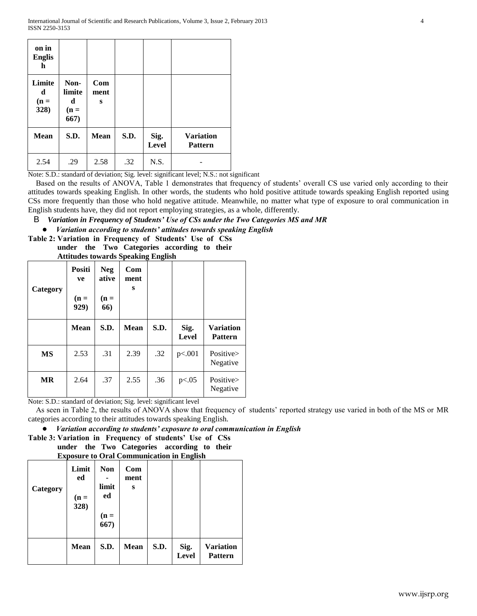| on in<br><b>Englis</b><br>h   |                                       |                  |      |                      |                                    |
|-------------------------------|---------------------------------------|------------------|------|----------------------|------------------------------------|
| Limite<br>d<br>$(n =$<br>328) | Non-<br>limite<br>d<br>$(n =$<br>667) | Com<br>ment<br>S |      |                      |                                    |
| <b>Mean</b>                   | S.D.                                  | <b>Mean</b>      | S.D. | Sig.<br><b>Level</b> | <b>Variation</b><br><b>Pattern</b> |
| 2.54                          | .29                                   | 2.58             | .32  | N.S.                 |                                    |

Note: S.D.: standard of deviation; Sig. level: significant level; N.S.: not significant

 Based on the results of ANOVA, Table 1 demonstrates that frequency of students' overall CS use varied only according to their attitudes towards speaking English. In other words, the students who hold positive attitude towards speaking English reported using CSs more frequently than those who hold negative attitude. Meanwhile, no matter what type of exposure to oral communication in English students have, they did not report employing strategies, as a whole, differently.

# B *Variation in Frequency of Students' Use of CSs under the Two Categories MS and MR*

● *Variation according to students' attitudes towards speaking English*

**Table 2: Variation in Frequency of Students' Use of CSs under the Two Categories according to their Attitudes towards Speaking English**

| Category  | Positi<br>ve<br>$(n =$<br>929) | <b>Neg</b><br>ative<br>$(n =$<br>66) | Com<br>ment<br>S | –    |                      |                                    |
|-----------|--------------------------------|--------------------------------------|------------------|------|----------------------|------------------------------------|
|           | <b>Mean</b>                    | S.D.                                 | <b>Mean</b>      | S.D. | Sig.<br><b>Level</b> | <b>Variation</b><br><b>Pattern</b> |
| MS        | 2.53                           | .31                                  | 2.39             | .32  | p<.001               | Positive><br>Negative              |
| <b>MR</b> | 2.64                           | .37                                  | 2.55             | .36  | p<.05                | Positive><br>Negative              |

Note: S.D.: standard of deviation; Sig. level: significant level

 As seen in Table 2, the results of ANOVA show that frequency of students' reported strategy use varied in both of the MS or MR categories according to their attitudes towards speaking English.

## ● *Variation according to students' exposure to oral communication in English*

**Table 3: Variation in Frequency of students' Use of CSs under the Two Categories according to their Exposure to Oral Communication in English**

| Category | Limit<br>ed<br>$(n =$<br>328) | <b>Non</b><br>limit<br>ed<br>$(n =$<br>667) | Com<br>ment<br>S |      |                      |                                    |
|----------|-------------------------------|---------------------------------------------|------------------|------|----------------------|------------------------------------|
|          | <b>Mean</b>                   | S.D.                                        | <b>Mean</b>      | S.D. | Sig.<br><b>Level</b> | <b>Variation</b><br><b>Pattern</b> |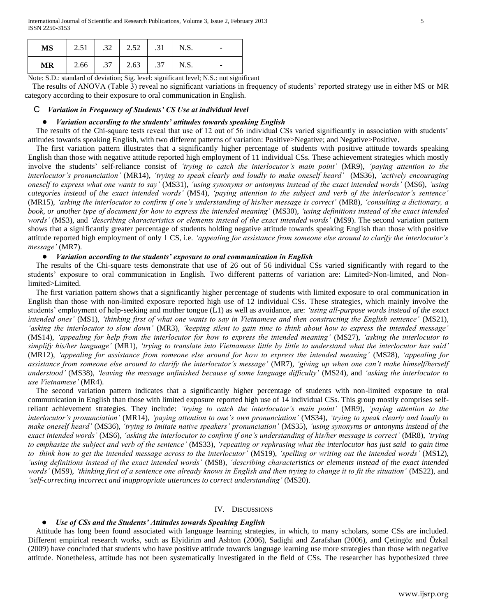| <b>MS</b> | 2.51 | $.32 \quad 2.52$ | .31 | N.S. | $\overline{\phantom{a}}$ |
|-----------|------|------------------|-----|------|--------------------------|
| <b>MR</b> | 2.66 | $.37 \quad 2.63$ | .37 | N.S. |                          |

Note: S.D.: standard of deviation; Sig. level: significant level; N.S.: not significant

 The results of ANOVA (Table 3) reveal no significant variations in frequency of students' reported strategy use in either MS or MR category according to their exposure to oral communication in English.

## C *Variation in Frequency of Students' CS Use at individual level*

## ● *Variation according to the students' attitudes towards speaking English*

 The results of the Chi-square tests reveal that use of 12 out of 56 individual CSs varied significantly in association with students' attitudes towards speaking English, with two different patterns of variation: Positive>Negative; and Negative>Positive.

 The first variation pattern illustrates that a significantly higher percentage of students with positive attitude towards speaking English than those with negative attitude reported high employment of 11 individual CSs. These achievement strategies which mostly involve the students' self-reliance consist of *'trying to catch the interlocutor's main point'* (MR9), *'paying attention to the interlocutor's pronunciation'* (MR14), *'trying to speak clearly and loudly to make oneself heard'* (MS36), *'actively encouraging oneself to express what one wants to say'* (MS31), *'using synonyms or antonyms instead of the exact intended words'* (MS6), *'using categories instead of the exact intended words'* (MS4), *'paying attention to the subject and verb of the interlocutor's sentence'* (MR15), *'asking the interlocutor to confirm if one's understanding of his/her message is correct'* (MR8), *'consulting a dictionary, a book, or another type of document for how to express the intended meaning'* (MS30), *'using definitions instead of the exact intended words'* (MS3), and *'describing characteristics or elements instead of the exact intended words'* (MS9). The second variation pattern shows that a significantly greater percentage of students holding negative attitude towards speaking English than those with positive attitude reported high employment of only 1 CS, i.e. *'appealing for assistance from someone else around to clarify the interlocutor's message'* (MR7).

## ● *Variation according to the students' exposure to oral communication in English*

 The results of the Chi-square tests demonstrate that use of 26 out of 56 individual CSs varied significantly with regard to the students' exposure to oral communication in English. Two different patterns of variation are: Limited>Non-limited, and Nonlimited>Limited.

 The first variation pattern shows that a significantly higher percentage of students with limited exposure to oral communication in English than those with non-limited exposure reported high use of 12 individual CSs. These strategies, which mainly involve the students' employment of help-seeking and mother tongue (L1) as well as avoidance, are: *'using all-purpose words instead of the exact intended ones'* (MS1), *'thinking first of what one wants to say in Vietnamese and then constructing the English sentence'* (MS21), *'asking the interlocutor to slow down'* (MR3), *'keeping silent to gain time to think about how to express the intended message'* (MS14), *'appealing for help from the interlocutor for how to express the intended meaning'* (MS27), *'asking the interlocutor to simplify his/her language'* (MR1), *'trying to translate into Vietnamese little by little to understand what the interlocutor has said'*  (MR12), *'appealing for assistance from someone else around for how to express the intended meaning'* (MS28), *'appealing for assistance from someone else around to clarify the interlocutor's message'* (MR7), *'giving up when one can't make himself/herself understood'* (MS38), *'leaving the message unfinished because of some language difficulty'* (MS24), and *'asking the interlocutor to use Vietnamese'* (MR4).

 The second variation pattern indicates that a significantly higher percentage of students with non-limited exposure to oral communication in English than those with limited exposure reported high use of 14 individual CSs. This group mostly comprises selfreliant achievement strategies. They include: *'trying to catch the interlocutor's main point'* (MR9), *'paying attention to the interlocutor's pronunciation'* (MR14), *'paying attention to one's own pronunciation'* (MS34), *'trying to speak clearly and loudly to make oneself heard'* (MS36), *'trying to imitate native speakers' pronunciation'* (MS35), *'using synonyms or antonyms instead of the exact intended words'* (MS6), *'asking the interlocutor to confirm if one's understanding of his/her message is correct'* (MR8), *'trying to emphasize the subject and verb of the sentence'* (MS33), *'repeating or rephrasing what the interlocutor has just said to gain time to think how to get the intended message across to the interlocutor'* (MS19), *'spelling or writing out the intended words'* (MS12), *'using definitions instead of the exact intended words'* (MS8), *'describing characteristics or elements instead of the exact intended words'* (MS9), *'thinking first of a sentence one already knows in English and then trying to change it to fit the situation'* (MS22), and *'self-correcting incorrect and inappropriate utterances to correct understanding'* (MS20).

## IV. DISCUSSIONS

## *Use of CSs and the Students' Attitudes towards Speaking English*

Attitude has long been found associated with language learning strategies, in which, to many scholars, some CSs are included. Different empirical research works, such as Elyidirim and Ashton (2006), Sadighi and Zarafshan (2006), and Çetingöz and Özkal (2009) have concluded that students who have positive attitude towards language learning use more strategies than those with negative attitude. Nonetheless, attitude has not been systematically investigated in the field of CSs. The researcher has hypothesized three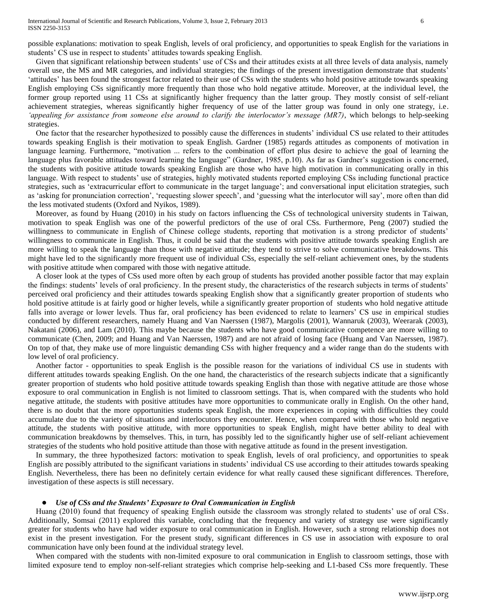possible explanations: motivation to speak English, levels of oral proficiency, and opportunities to speak English for the variations in students' CS use in respect to students' attitudes towards speaking English.

 Given that significant relationship between students' use of CSs and their attitudes exists at all three levels of data analysis, namely overall use, the MS and MR categories, and individual strategies; the findings of the present investigation demonstrate that students' 'attitudes' has been found the strongest factor related to their use of CSs with the students who hold positive attitude towards speaking English employing CSs significantly more frequently than those who hold negative attitude. Moreover, at the individual level, the former group reported using 11 CSs at significantly higher frequency than the latter group. They mostly consist of self-reliant achievement strategies, whereas significantly higher frequency of use of the latter group was found in only one strategy, i.e. *'appealing for assistance from someone else around to clarify the interlocutor's message (MR7)*, which belongs to help-seeking strategies.

 One factor that the researcher hypothesized to possibly cause the differences in students' individual CS use related to their attitudes towards speaking English is their motivation to speak English. Gardner (1985) regards attitudes as components of motivation in language learning. Furthermore, "motivation ... refers to the combination of effort plus desire to achieve the goal of learning the language plus favorable attitudes toward learning the language" (Gardner, 1985, p.10). As far as Gardner's suggestion is concerned, the students with positive attitude towards speaking English are those who have high motivation in communicating orally in this language. With respect to students' use of strategies, highly motivated students reported employing CSs including functional practice strategies, such as 'extracurricular effort to communicate in the target language'; and conversational input elicitation strategies, such as 'asking for pronunciation correction', 'requesting slower speech', and 'guessing what the interlocutor will say', more often than did the less motivated students (Oxford and Nyikos, 1989).

 Moreover, as found by Huang (2010) in his study on factors influencing the CSs of technological university students in Taiwan, motivation to speak English was one of the powerful predictors of the use of oral CSs. Furthermore, Peng (2007) studied the willingness to communicate in English of Chinese college students, reporting that motivation is a strong predictor of students' willingness to communicate in English. Thus, it could be said that the students with positive attitude towards speaking English are more willing to speak the language than those with negative attitude; they tend to strive to solve communicative breakdowns. This might have led to the significantly more frequent use of individual CSs, especially the self-reliant achievement ones, by the students with positive attitude when compared with those with negative attitude.

 A closer look at the types of CSs used more often by each group of students has provided another possible factor that may explain the findings: students' levels of oral proficiency. In the present study, the characteristics of the research subjects in terms of students' perceived oral proficiency and their attitudes towards speaking English show that a significantly greater proportion of students who hold positive attitude is at fairly good or higher levels, while a significantly greater proportion of students who hold negative attitude falls into average or lower levels. Thus far, oral proficiency has been evidenced to relate to learners' CS use in empirical studies conducted by different researchers, namely Huang and Van Naerssen (1987), Margolis (2001), Wannaruk (2003), Weerarak (2003), Nakatani (2006), and Lam (2010). This maybe because the students who have good communicative competence are more willing to communicate (Chen, 2009; and Huang and Van Naerssen, 1987) and are not afraid of losing face (Huang and Van Naerssen, 1987). On top of that, they make use of more linguistic demanding CSs with higher frequency and a wider range than do the students with low level of oral proficiency.

 Another factor - opportunities to speak English is the possible reason for the variations of individual CS use in students with different attitudes towards speaking English. On the one hand, the characteristics of the research subjects indicate that a significantly greater proportion of students who hold positive attitude towards speaking English than those with negative attitude are those whose exposure to oral communication in English is not limited to classroom settings. That is, when compared with the students who hold negative attitude, the students with positive attitudes have more opportunities to communicate orally in English. On the other hand, there is no doubt that the more opportunities students speak English, the more experiences in coping with difficulties they could accumulate due to the variety of situations and interlocutors they encounter. Hence, when compared with those who hold negative attitude, the students with positive attitude, with more opportunities to speak English, might have better ability to deal with communication breakdowns by themselves. This, in turn, has possibly led to the significantly higher use of self-reliant achievement strategies of the students who hold positive attitude than those with negative attitude as found in the present investigation.

 In summary, the three hypothesized factors: motivation to speak English, levels of oral proficiency, and opportunities to speak English are possibly attributed to the significant variations in students' individual CS use according to their attitudes towards speaking English. Nevertheless, there has been no definitely certain evidence for what really caused these significant differences. Therefore, investigation of these aspects is still necessary.

## ● *Use of CSs and the Students' Exposure to Oral Communication in English*

 Huang (2010) found that frequency of speaking English outside the classroom was strongly related to students' use of oral CSs. Additionally, Somsai (2011) explored this variable, concluding that the frequency and variety of strategy use were significantly greater for students who have had wider exposure to oral communication in English. However, such a strong relationship does not exist in the present investigation. For the present study, significant differences in CS use in association with exposure to oral communication have only been found at the individual strategy level.

 When compared with the students with non-limited exposure to oral communication in English to classroom settings, those with limited exposure tend to employ non-self-reliant strategies which comprise help-seeking and L1-based CSs more frequently. These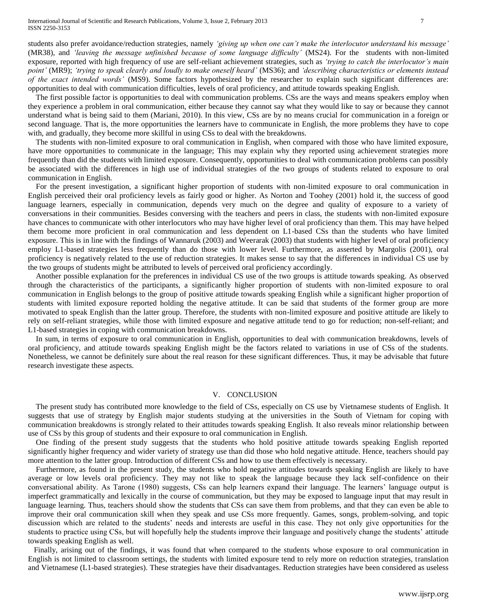students also prefer avoidance/reduction strategies, namely *'giving up when one can't make the interlocutor understand his message'* (MR38), and *'leaving the message unfinished because of some language difficulty'* (MS24). For the students with non-limited exposure, reported with high frequency of use are self-reliant achievement strategies, such as *'trying to catch the interlocutor's main point'* (MR9); *'trying to speak clearly and loudly to make oneself heard'* (MS36); and *'describing characteristics or elements instead of the exact intended words'* (MS9). Some factors hypothesized by the researcher to explain such significant differences are: opportunities to deal with communication difficulties, levels of oral proficiency, and attitude towards speaking English.

 The first possible factor is opportunities to deal with communication problems. CSs are the ways and means speakers employ when they experience a problem in oral communication, either because they cannot say what they would like to say or because they cannot understand what is being said to them (Mariani, 2010). In this view, CSs are by no means crucial for communication in a foreign or second language. That is, the more opportunities the learners have to communicate in English, the more problems they have to cope with, and gradually, they become more skillful in using CSs to deal with the breakdowns.

 The students with non-limited exposure to oral communication in English, when compared with those who have limited exposure, have more opportunities to communicate in the language; This may explain why they reported using achievement strategies more frequently than did the students with limited exposure. Consequently, opportunities to deal with communication problems can possibly be associated with the differences in high use of individual strategies of the two groups of students related to exposure to oral communication in English.

 For the present investigation, a significant higher proportion of students with non-limited exposure to oral communication in English perceived their oral proficiency levels as fairly good or higher. As Norton and Toohey (2001) hold it, the success of good language learners, especially in communication, depends very much on the degree and quality of exposure to a variety of conversations in their communities. Besides conversing with the teachers and peers in class, the students with non-limited exposure have chances to communicate with other interlocutors who may have higher level of oral proficiency than them. This may have helped them become more proficient in oral communication and less dependent on L1-based CSs than the students who have limited exposure. This is in line with the findings of Wannaruk (2003) and Weerarak (2003) that students with higher level of oral proficiency employ L1-based strategies less frequently than do those with lower level. Furthermore, as asserted by Margolis (2001), oral proficiency is negatively related to the use of reduction strategies. It makes sense to say that the differences in individual CS use by the two groups of students might be attributed to levels of perceived oral proficiency accordingly.

 Another possible explanation for the preferences in individual CS use of the two groups is attitude towards speaking. As observed through the characteristics of the participants, a significantly higher proportion of students with non-limited exposure to oral communication in English belongs to the group of positive attitude towards speaking English while a significant higher proportion of students with limited exposure reported holding the negative attitude. It can be said that students of the former group are more motivated to speak English than the latter group. Therefore, the students with non-limited exposure and positive attitude are likely to rely on self-reliant strategies, while those with limited exposure and negative attitude tend to go for reduction; non-self-reliant; and L1-based strategies in coping with communication breakdowns.

 In sum, in terms of exposure to oral communication in English, opportunities to deal with communication breakdowns, levels of oral proficiency, and attitude towards speaking English might be the factors related to variations in use of CSs of the students. Nonetheless, we cannot be definitely sure about the real reason for these significant differences. Thus, it may be advisable that future research investigate these aspects.

## V. CONCLUSION

 The present study has contributed more knowledge to the field of CSs, especially on CS use by Vietnamese students of English. It suggests that use of strategy by English major students studying at the universities in the South of Vietnam for coping with communication breakdowns is strongly related to their attitudes towards speaking English. It also reveals minor relationship between use of CSs by this group of students and their exposure to oral communication in English.

 One finding of the present study suggests that the students who hold positive attitude towards speaking English reported significantly higher frequency and wider variety of strategy use than did those who hold negative attitude. Hence, teachers should pay more attention to the latter group. Introduction of different CSs and how to use them effectively is necessary.

 Furthermore, as found in the present study, the students who hold negative attitudes towards speaking English are likely to have average or low levels oral proficiency. They may not like to speak the language because they lack self-confidence on their conversational ability. As Tarone (1980) suggests, CSs can help learners expand their language. The learners' language output is imperfect grammatically and lexically in the course of communication, but they may be exposed to language input that may result in language learning. Thus, teachers should show the students that CSs can save them from problems, and that they can even be able to improve their oral communication skill when they speak and use CSs more frequently. Games, songs, problem-solving, and topic discussion which are related to the students' needs and interests are useful in this case. They not only give opportunities for the students to practice using CSs, but will hopefully help the students improve their language and positively change the students' attitude towards speaking English as well.

 Finally, arising out of the findings, it was found that when compared to the students whose exposure to oral communication in English is not limited to classroom settings, the students with limited exposure tend to rely more on reduction strategies, translation and Vietnamese (L1-based strategies). These strategies have their disadvantages. Reduction strategies have been considered as useless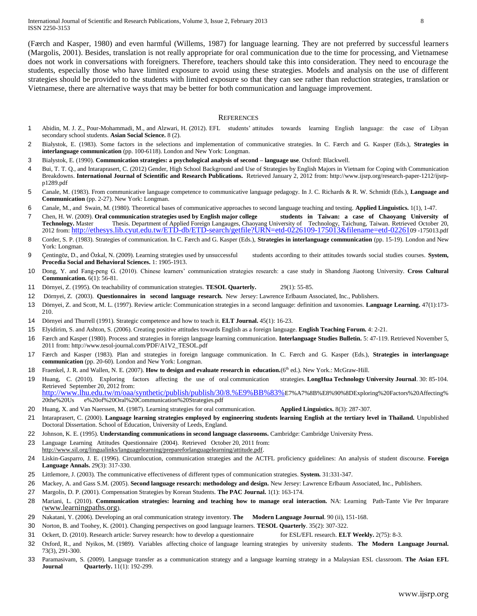(Færch and Kasper, 1980) and even harmful (Willems, 1987) for language learning. They are not preferred by successful learners (Margolis, 2001). Besides, translation is not really appropriate for oral communication due to the time for processing, and Vietnamese does not work in conversations with foreigners. Therefore, teachers should take this into consideration. They need to encourage the students, especially those who have limited exposure to avoid using these strategies. Models and analysis on the use of different strategies should be provided to the students with limited exposure so that they can see rather than reduction strategies, translation or Vietnamese, there are alternative ways that may be better for both communication and language improvement.

#### **REFERENCES**

- 1 Abidin, M. J. Z., Pour-Mohammadi, M., and Alzwari, H. (2012). EFL students' attitudes towards learning English language: the case of Libyan secondary school students. **Asian Social Science.** 8 (2).
- 2 Bialystok, E. (1983). Some factors in the selections and implementation of communicative strategies. In C. Færch and G. Kasper (Eds.), **Strategies in interlanguage communication** (pp. 100-6118). London and New York: Longman.
- 3 Bialystok, E. (1990). **Communication strategies: a psychological analysis of second – language use**. Oxford: Blackwell.
- 4 Bui, T. T. Q., and Intaraprasert, C. (2012) Gender, High School Background and Use of Strategies by English Majors in Vietnam for Coping with Communication Breakdowns. **International Journal of Scientific and Research Publications.** Retrieved January 2, 2012 from: http://www.ijsrp.org/research-paper-1212/ijsrpp1289.pdf
- 5 Canale, M. (1983). From communicative language competence to communicative language pedagogy. In J. C. Richards & R. W. Schmidt (Eds.), **Language and Communication** (pp. 2-27). New York: Longman.
- 6 Canale, M., and Swain, M. (1980). Theoretical bases of communicative approaches to second language teaching and testing. **Applied Linguistics.** 1(1), 1-47.
- 7 Chen, H. W. (2009). **Oral communication strategies used by English major college students in Taiwan: a case of Chaoyang University of Technology.** Master Thesis. Department of Applied Foreign Langauges, Chaoyang University of Technology, Taichung, Taiwan. Retrieved October 20, 2012 from: <http://ethesys.lib.cyut.edu.tw/ETD-db/ETD-search/getfile?URN=etd-0226109-175013&filename=etd-02261>09 -175013.pdf
- 8 Corder, S. P. (1983). Strategies of communication. In C. Færch and G. Kasper (Eds.), **Strategies in interlanguage communication** (pp. 15-19). London and New York: Longman.
- 9 Çentingöz, D., and Özkal, N. (2009). Learning strategies used by unsuccessful students according to their attitudes towards social studies courses. **System, Procedia Social and Behavioral Sciences.** 1: 1905-1913.
- 10 Dong, Y. and Fang-peng G. (2010). Chinese learners' communication strategies research: a case study in Shandong Jiaotong University. **Cross Cultural Communication.** 6(1): 56-81.
- 11 Dörnyei, Z. (1995). On teachability of communication strategies. **TESOL Quarterly.** 29(1): 55-85.
- 12 Dörnyei, Z. (2003). **Questionnaires in second language research.** New Jersey: Lawrence Erlbaum Associated, Inc., Publishers.
- 13 Dörnyei, Z. and Scott, M. L. (1997). Review article: Communication strategies in a second language: definition and taxonomies. **Language Learning.** 47(1):173- 210.
- 14 Dörnyei and Thurrell (1991). Strategic competence and how to teach it. **ELT Journal.** 45(1): 16-23.
- 15 Elyidirim, S. and Ashton, S. (2006). Creating positive attitudes towards English as a foreign language. **English Teaching Forum.** 4: 2-21.
- 16 Færch and Kasper (1980). Process and strategies in foreign language learning communication. **Interlanguage Studies Bulletin.** 5: 47-119. Retrieved November 5, 2011 from: http://www.tesol-journal.com/PDF/A1V2\_TESOL.pdf
- 17 Færch and Kasper (1983). Plan and strategies in foreign language communication. In C. Færch and G. Kasper (Eds.), **Strategies in interlanguage communication** (pp. 20-60). London and New York: Longman.
- 18 Fraenkel, J. R. and Wallen, N. E. (2007). How to design and evaluate research in education.(6<sup>th</sup> ed.). New York.: McGraw-Hill.
- 19 Huang, C. (2010). Exploring factors affecting the use of oral communication strategies. **LongHua Technology University Journal**. 30: 85-104. Retrieved September 20, 2012 from: http://www.lhu.edu.tw/m/oaa/synthetic/publish/publish/30/8.%E9%BB%83%E7%A7%8B%E8%90%8DExploring%20Factors%20Affecting%
- 20the%20Us e%20of%20Oral%20Communication%20Strategies.pdf
- 20 Huang, X. and Van Naerssen, M. (1987). Learning strategies for oral communication. **Applied Linguistics.** 8(3): 287-307.
- 21 Intaraprasert, C. (2000). **Language learning strategies employed by engineering students learning English at the tertiary level in Thailand.** Unpublished Doctoral Dissertation. School of Education, University of Leeds, England.
- 22 Johnson, K. E. (1995). **Understanding communications in second language classrooms.** Cambridge: Cambridge University Press.
- 23 Language Learning Attitudes Questionnaire (2004). Retrieved October 20, 2011 from: http://www.sil.org/lingualinks/languagelearning/prepareforlanguagelearning/attitude.pdf.
- 24 Liskin-Gasparro, J. E. (1996). Circumlocution, communication strategies and the ACTFL proficiency guidelines: An analysis of student discourse. **Foreign Language Annals.** 29(3): 317-330.
- 25 Littlemore, J. (2003). The communicative effectiveness of different types of communication strategies. **System.** 31:331-347.
- 26 Mackey, A. and Gass S.M. (2005). **Second language research: methodology and design.** New Jersey: Lawrence Erlbaum Associated, Inc., Publishers.
- 27 Margolis, D. P. (2001). Compensation Strategies by Korean Students. **The PAC Journal.** 1(1): 163-174.
- 28 Mariani, L. (2010). **Communication strategies: learning and teaching how to manage oral interaction.** NA: Learning Path-Tante Vie Per Imparare ([www.learningpaths.org](http://www.learningpaths.org/)).
- 29 Nakatani, Y. (2006). Developing an oral communication strategy inventory. **The Modern Language Journal**. 90 (ii), 151-168.
- 30 Norton, B. and Toohey, K. (2001). Changing perspectives on good language learners. **TESOL Quarterly**. 35(2): 307-322.
- 31 Ockert, D. (2010). Research article: Survey research: how to develop a questionnaire for ESL/EFL research. **ELT Weekly.** 2(75): 8-3.
- 32 Oxford, R., and Nyikos, M. (1989). Variables affecting choice of language learning strategies by university students. **The Modern Language Journal.** 73(3), 291-300.
- 33 Paramasivam, S. (2009). Language transfer as a communication strategy and a language learning strategy in a Malaysian ESL classroom. **The Asian EFL Journal Quarterly.** 11(1): 192-299.